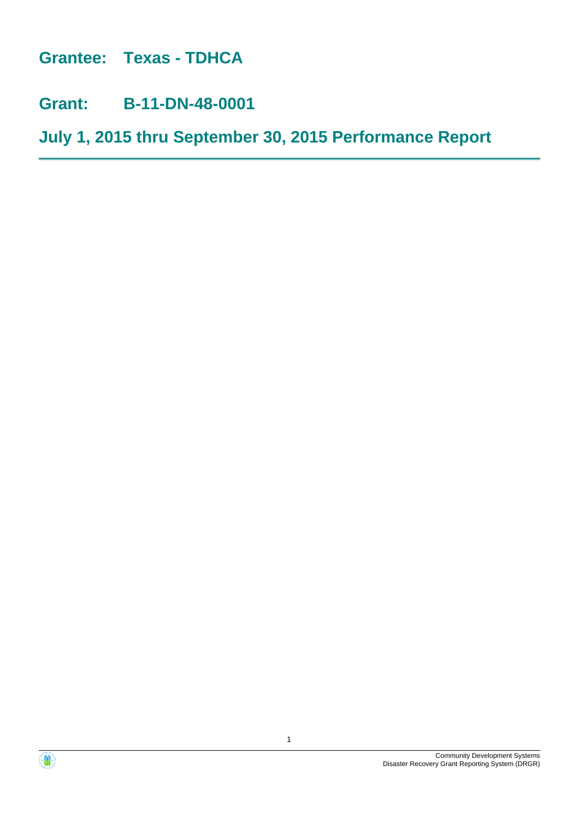**Grantee: Texas - TDHCA**

**Grant: B-11-DN-48-0001**

**July 1, 2015 thru September 30, 2015 Performance Report**



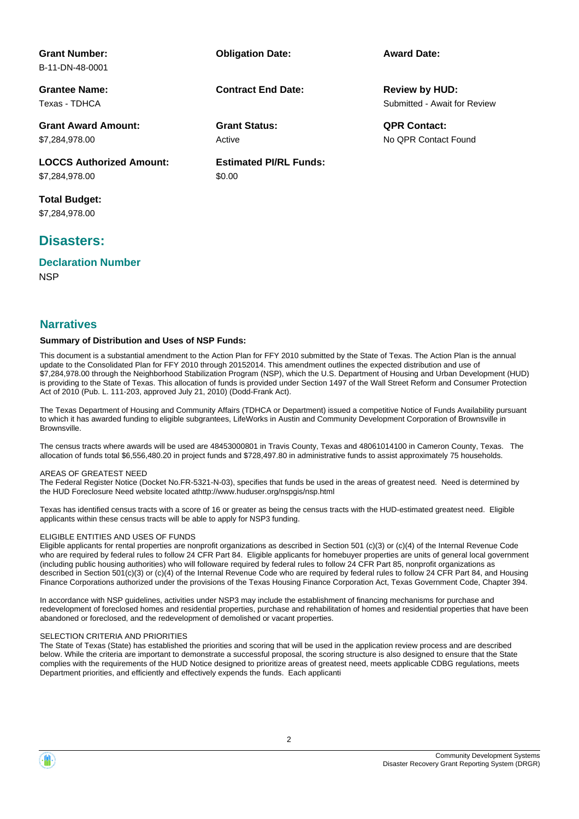| <b>Grant Number:</b>            | <b>Obligation Date:</b>       | <b>Award Date:</b>           |
|---------------------------------|-------------------------------|------------------------------|
| B-11-DN-48-0001                 |                               |                              |
| <b>Grantee Name:</b>            | <b>Contract End Date:</b>     | <b>Review by HUD:</b>        |
| Texas - TDHCA                   |                               | Submitted - Await for Review |
| <b>Grant Award Amount:</b>      | <b>Grant Status:</b>          | <b>QPR Contact:</b>          |
| \$7,284,978.00                  | Active                        | No OPR Contact Found         |
| <b>LOCCS Authorized Amount:</b> | <b>Estimated PI/RL Funds:</b> |                              |
| \$7,284,978.00                  | \$0.00                        |                              |
| <b>Total Budget:</b>            |                               |                              |
| \$7.284.978.00                  |                               |                              |

# **Disasters:**

**Declaration Number**

**NSP** 

### **Narratives**

#### **Summary of Distribution and Uses of NSP Funds:**

This document is a substantial amendment to the Action Plan for FFY 2010 submitted by the State of Texas. The Action Plan is the annual update to the Consolidated Plan for FFY 2010 through 20152014. This amendment outlines the expected distribution and use of \$7,284,978.00 through the Neighborhood Stabilization Program (NSP), which the U.S. Department of Housing and Urban Development (HUD) is providing to the State of Texas. This allocation of funds is provided under Section 1497 of the Wall Street Reform and Consumer Protection Act of 2010 (Pub. L. 111-203, approved July 21, 2010) (Dodd-Frank Act).

The Texas Department of Housing and Community Affairs (TDHCA or Department) issued a competitive Notice of Funds Availability pursuant to which it has awarded funding to eligible subgrantees, LifeWorks in Austin and Community Development Corporation of Brownsville in Brownsville.

The census tracts where awards will be used are 48453000801 in Travis County, Texas and 48061014100 in Cameron County, Texas. The allocation of funds total \$6,556,480.20 in project funds and \$728,497.80 in administrative funds to assist approximately 75 households.

#### AREAS OF GREATEST NEED

The Federal Register Notice (Docket No.FR-5321-N-03), specifies that funds be used in the areas of greatest need. Need is determined by the HUD Foreclosure Need website located athttp://www.huduser.org/nspgis/nsp.html

Texas has identified census tracts with a score of 16 or greater as being the census tracts with the HUD-estimated greatest need. Eligible applicants within these census tracts will be able to apply for NSP3 funding.

#### ELIGIBLE ENTITIES AND USES OF FUNDS

Eligible applicants for rental properties are nonprofit organizations as described in Section 501 (c)(3) or (c)(4) of the Internal Revenue Code who are required by federal rules to follow 24 CFR Part 84. Eligible applicants for homebuyer properties are units of general local government (including public housing authorities) who will followare required by federal rules to follow 24 CFR Part 85, nonprofit organizations as described in Section 501(c)(3) or (c)(4) of the Internal Revenue Code who are required by federal rules to follow 24 CFR Part 84, and Housing Finance Corporations authorized under the provisions of the Texas Housing Finance Corporation Act, Texas Government Code, Chapter 394.

In accordance with NSP guidelines, activities under NSP3 may include the establishment of financing mechanisms for purchase and redevelopment of foreclosed homes and residential properties, purchase and rehabilitation of homes and residential properties that have been abandoned or foreclosed, and the redevelopment of demolished or vacant properties.

#### SELECTION CRITERIA AND PRIORITIES

The State of Texas (State) has established the priorities and scoring that will be used in the application review process and are described below. While the criteria are important to demonstrate a successful proposal, the scoring structure is also designed to ensure that the State complies with the requirements of the HUD Notice designed to prioritize areas of greatest need, meets applicable CDBG regulations, meets Department priorities, and efficiently and effectively expends the funds. Each applicanti

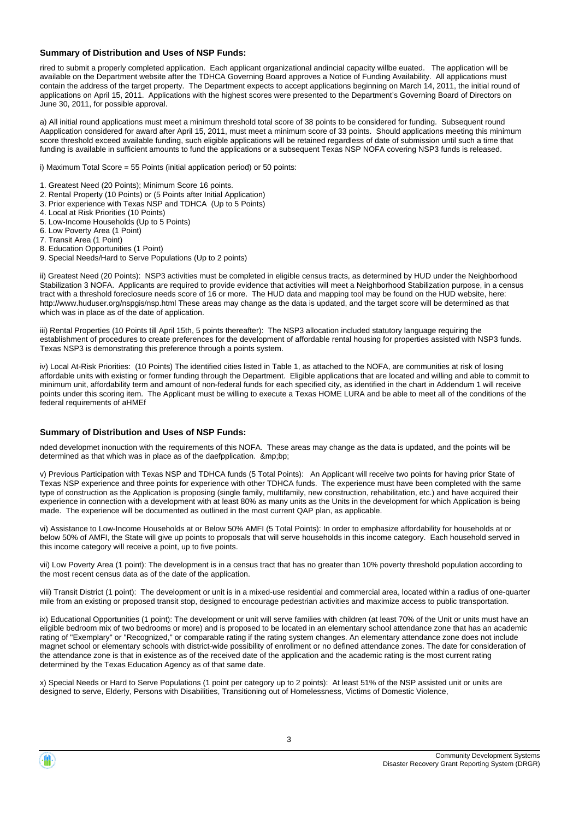#### **Summary of Distribution and Uses of NSP Funds:**

rired to submit a properly completed application. Each applicant organizational andincial capacity willbe euated. The application will be available on the Department website after the TDHCA Governing Board approves a Notice of Funding Availability. All applications must contain the address of the target property. The Department expects to accept applications beginning on March 14, 2011, the initial round of applications on April 15, 2011. Applications with the highest scores were presented to the Department's Governing Board of Directors on June 30, 2011, for possible approval.

a) All initial round applications must meet a minimum threshold total score of 38 points to be considered for funding. Subsequent round Aapplication considered for award after April 15, 2011, must meet a minimum score of 33 points. Should applications meeting this minimum score threshold exceed available funding, such eligible applications will be retained regardless of date of submission until such a time that funding is available in sufficient amounts to fund the applications or a subsequent Texas NSP NOFA covering NSP3 funds is released.

i) Maximum Total Score = 55 Points (initial application period) or 50 points:

- 1. Greatest Need (20 Points); Minimum Score 16 points.
- 2. Rental Property (10 Points) or (5 Points after Initial Application)
- 3. Prior experience with Texas NSP and TDHCA (Up to 5 Points)
- 4. Local at Risk Priorities (10 Points)
- 5. Low-Income Households (Up to 5 Points)
- 6. Low Poverty Area (1 Point)
- 7. Transit Area (1 Point)
- 8. Education Opportunities (1 Point)
- 9. Special Needs/Hard to Serve Populations (Up to 2 points)

ii) Greatest Need (20 Points): NSP3 activities must be completed in eligible census tracts, as determined by HUD under the Neighborhood Stabilization 3 NOFA. Applicants are required to provide evidence that activities will meet a Neighborhood Stabilization purpose, in a census tract with a threshold foreclosure needs score of 16 or more. The HUD data and mapping tool may be found on the HUD website, here: http://www.huduser.org/nspgis/nsp.html These areas may change as the data is updated, and the target score will be determined as that which was in place as of the date of application.

iii) Rental Properties (10 Points till April 15th, 5 points thereafter): The NSP3 allocation included statutory language requiring the establishment of procedures to create preferences for the development of affordable rental housing for properties assisted with NSP3 funds. Texas NSP3 is demonstrating this preference through a points system.

iv) Local At-Risk Priorities: (10 Points) The identified cities listed in Table 1, as attached to the NOFA, are communities at risk of losing affordable units with existing or former funding through the Department. Eligible applications that are located and willing and able to commit to minimum unit, affordability term and amount of non-federal funds for each specified city, as identified in the chart in Addendum 1 will receive points under this scoring item. The Applicant must be willing to execute a Texas HOME LURA and be able to meet all of the conditions of the federal requirements of aHMEf

#### **Summary of Distribution and Uses of NSP Funds:**

nded developmet inonuction with the requirements of this NOFA. These areas may change as the data is updated, and the points will be determined as that which was in place as of the daefpplication. & mp:bp:

v) Previous Participation with Texas NSP and TDHCA funds (5 Total Points): An Applicant will receive two points for having prior State of Texas NSP experience and three points for experience with other TDHCA funds. The experience must have been completed with the same type of construction as the Application is proposing (single family, multifamily, new construction, rehabilitation, etc.) and have acquired their experience in connection with a development with at least 80% as many units as the Units in the development for which Application is being made. The experience will be documented as outlined in the most current QAP plan, as applicable.

vi) Assistance to Low-Income Households at or Below 50% AMFI (5 Total Points): In order to emphasize affordability for households at or below 50% of AMFI, the State will give up points to proposals that will serve households in this income category. Each household served in this income category will receive a point, up to five points.

vii) Low Poverty Area (1 point): The development is in a census tract that has no greater than 10% poverty threshold population according to the most recent census data as of the date of the application.

viii) Transit District (1 point): The development or unit is in a mixed-use residential and commercial area, located within a radius of one-quarter mile from an existing or proposed transit stop, designed to encourage pedestrian activities and maximize access to public transportation.

ix) Educational Opportunities (1 point): The development or unit will serve families with children (at least 70% of the Unit or units must have an eligible bedroom mix of two bedrooms or more) and is proposed to be located in an elementary school attendance zone that has an academic rating of "Exemplary" or "Recognized," or comparable rating if the rating system changes. An elementary attendance zone does not include magnet school or elementary schools with district-wide possibility of enrollment or no defined attendance zones. The date for consideration of the attendance zone is that in existence as of the received date of the application and the academic rating is the most current rating determined by the Texas Education Agency as of that same date.

x) Special Needs or Hard to Serve Populations (1 point per category up to 2 points): At least 51% of the NSP assisted unit or units are designed to serve, Elderly, Persons with Disabilities, Transitioning out of Homelessness, Victims of Domestic Violence,

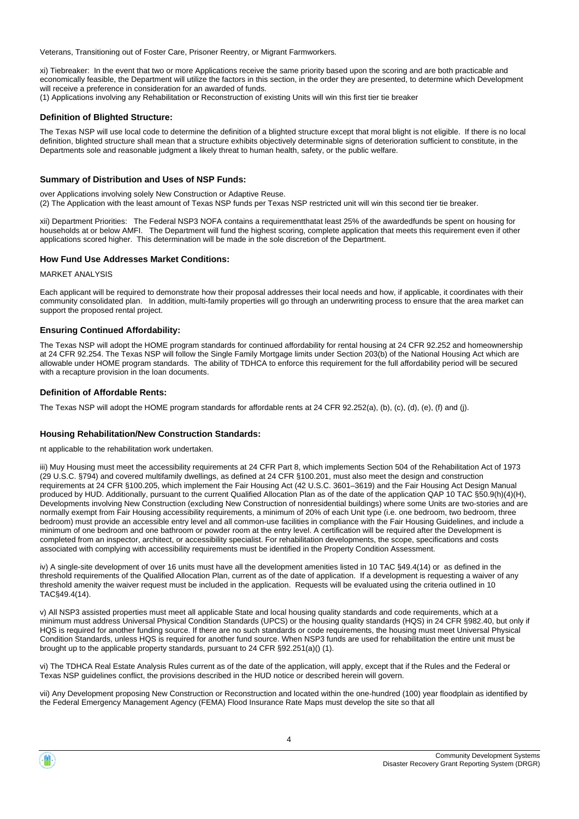Veterans, Transitioning out of Foster Care, Prisoner Reentry, or Migrant Farmworkers.

xi) Tiebreaker: In the event that two or more Applications receive the same priority based upon the scoring and are both practicable and economically feasible, the Department will utilize the factors in this section, in the order they are presented, to determine which Development will receive a preference in consideration for an awarded of funds.

(1) Applications involving any Rehabilitation or Reconstruction of existing Units will win this first tier tie breaker

#### **Definition of Blighted Structure:**

The Texas NSP will use local code to determine the definition of a blighted structure except that moral blight is not eligible. If there is no local definition, blighted structure shall mean that a structure exhibits objectively determinable signs of deterioration sufficient to constitute, in the Departments sole and reasonable judgment a likely threat to human health, safety, or the public welfare.

#### **Summary of Distribution and Uses of NSP Funds:**

over Applications involving solely New Construction or Adaptive Reuse.

(2) The Application with the least amount of Texas NSP funds per Texas NSP restricted unit will win this second tier tie breaker.

xii) Department Priorities: The Federal NSP3 NOFA contains a requirementthatat least 25% of the awardedfunds be spent on housing for households at or below AMFI. The Department will fund the highest scoring, complete application that meets this requirement even if other applications scored higher. This determination will be made in the sole discretion of the Department.

#### **How Fund Use Addresses Market Conditions:**

MARKET ANALYSIS

Each applicant will be required to demonstrate how their proposal addresses their local needs and how, if applicable, it coordinates with their community consolidated plan. In addition, multi-family properties will go through an underwriting process to ensure that the area market can support the proposed rental project.

#### **Ensuring Continued Affordability:**

The Texas NSP will adopt the HOME program standards for continued affordability for rental housing at 24 CFR 92.252 and homeownership at 24 CFR 92.254. The Texas NSP will follow the Single Family Mortgage limits under Section 203(b) of the National Housing Act which are allowable under HOME program standards. The ability of TDHCA to enforce this requirement for the full affordability period will be secured with a recapture provision in the loan documents.

#### **Definition of Affordable Rents:**

The Texas NSP will adopt the HOME program standards for affordable rents at 24 CFR 92.252(a), (b), (c), (d), (e), (f) and (j).

#### **Housing Rehabilitation/New Construction Standards:**

nt applicable to the rehabilitation work undertaken.

iii) Muy Housing must meet the accessibility requirements at 24 CFR Part 8, which implements Section 504 of the Rehabilitation Act of 1973 (29 U.S.C. §794) and covered multifamily dwellings, as defined at 24 CFR §100.201, must also meet the design and construction requirements at 24 CFR §100.205, which implement the Fair Housing Act (42 U.S.C. 3601–3619) and the Fair Housing Act Design Manual produced by HUD. Additionally, pursuant to the current Qualified Allocation Plan as of the date of the application QAP 10 TAC §50.9(h)(4)(H), Developments involving New Construction (excluding New Construction of nonresidential buildings) where some Units are two-stories and are normally exempt from Fair Housing accessibility requirements, a minimum of 20% of each Unit type (i.e. one bedroom, two bedroom, three bedroom) must provide an accessible entry level and all common-use facilities in compliance with the Fair Housing Guidelines, and include a minimum of one bedroom and one bathroom or powder room at the entry level. A certification will be required after the Development is completed from an inspector, architect, or accessibility specialist. For rehabilitation developments, the scope, specifications and costs associated with complying with accessibility requirements must be identified in the Property Condition Assessment.

iv) A single-site development of over 16 units must have all the development amenities listed in 10 TAC §49.4(14) or as defined in the threshold requirements of the Qualified Allocation Plan, current as of the date of application. If a development is requesting a waiver of any threshold amenity the waiver request must be included in the application. Requests will be evaluated using the criteria outlined in 10 TAC§49.4(14).

v) All NSP3 assisted properties must meet all applicable State and local housing quality standards and code requirements, which at a minimum must address Universal Physical Condition Standards (UPCS) or the housing quality standards (HQS) in 24 CFR §982.40, but only if HQS is required for another funding source. If there are no such standards or code requirements, the housing must meet Universal Physical Condition Standards, unless HQS is required for another fund source. When NSP3 funds are used for rehabilitation the entire unit must be brought up to the applicable property standards, pursuant to 24 CFR §92.251(a)() (1).

vi) The TDHCA Real Estate Analysis Rules current as of the date of the application, will apply, except that if the Rules and the Federal or Texas NSP guidelines conflict, the provisions described in the HUD notice or described herein will govern.

vii) Any Development proposing New Construction or Reconstruction and located within the one-hundred (100) year floodplain as identified by the Federal Emergency Management Agency (FEMA) Flood Insurance Rate Maps must develop the site so that all

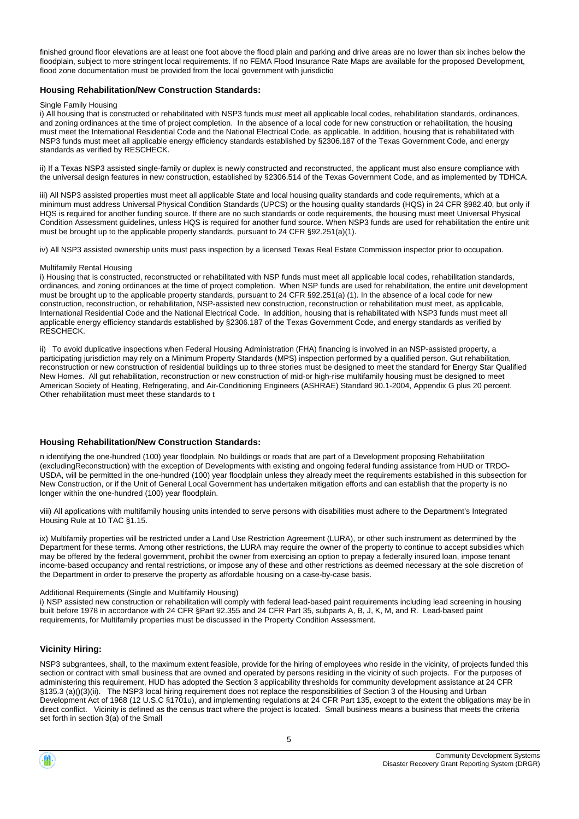finished ground floor elevations are at least one foot above the flood plain and parking and drive areas are no lower than six inches below the floodplain, subject to more stringent local requirements. If no FEMA Flood Insurance Rate Maps are available for the proposed Development, flood zone documentation must be provided from the local government with jurisdictio

#### **Housing Rehabilitation/New Construction Standards:**

#### Single Family Housing

i) All housing that is constructed or rehabilitated with NSP3 funds must meet all applicable local codes, rehabilitation standards, ordinances, and zoning ordinances at the time of project completion. In the absence of a local code for new construction or rehabilitation, the housing must meet the International Residential Code and the National Electrical Code, as applicable. In addition, housing that is rehabilitated with NSP3 funds must meet all applicable energy efficiency standards established by §2306.187 of the Texas Government Code, and energy standards as verified by RESCHECK.

ii) If a Texas NSP3 assisted single-family or duplex is newly constructed and reconstructed, the applicant must also ensure compliance with the universal design features in new construction, established by §2306.514 of the Texas Government Code, and as implemented by TDHCA.

iii) All NSP3 assisted properties must meet all applicable State and local housing quality standards and code requirements, which at a minimum must address Universal Physical Condition Standards (UPCS) or the housing quality standards (HQS) in 24 CFR §982.40, but only if HQS is required for another funding source. If there are no such standards or code requirements, the housing must meet Universal Physical Condition Assessment guidelines, unless HQS is required for another fund source. When NSP3 funds are used for rehabilitation the entire unit must be brought up to the applicable property standards, pursuant to 24 CFR §92.251(a)(1).

iv) All NSP3 assisted ownership units must pass inspection by a licensed Texas Real Estate Commission inspector prior to occupation.

#### Multifamily Rental Housing

i) Housing that is constructed, reconstructed or rehabilitated with NSP funds must meet all applicable local codes, rehabilitation standards, ordinances, and zoning ordinances at the time of project completion. When NSP funds are used for rehabilitation, the entire unit development must be brought up to the applicable property standards, pursuant to 24 CFR §92.251(a) (1). In the absence of a local code for new construction, reconstruction, or rehabilitation, NSP-assisted new construction, reconstruction or rehabilitation must meet, as applicable, International Residential Code and the National Electrical Code. In addition, housing that is rehabilitated with NSP3 funds must meet all applicable energy efficiency standards established by §2306.187 of the Texas Government Code, and energy standards as verified by **RESCHECK** 

ii) To avoid duplicative inspections when Federal Housing Administration (FHA) financing is involved in an NSP-assisted property, a participating jurisdiction may rely on a Minimum Property Standards (MPS) inspection performed by a qualified person. Gut rehabilitation, reconstruction or new construction of residential buildings up to three stories must be designed to meet the standard for Energy Star Qualified New Homes. All gut rehabilitation, reconstruction or new construction of mid-or high-rise multifamily housing must be designed to meet American Society of Heating, Refrigerating, and Air-Conditioning Engineers (ASHRAE) Standard 90.1-2004, Appendix G plus 20 percent. Other rehabilitation must meet these standards to t

#### **Housing Rehabilitation/New Construction Standards:**

n identifying the one-hundred (100) year floodplain. No buildings or roads that are part of a Development proposing Rehabilitation (excludingReconstruction) with the exception of Developments with existing and ongoing federal funding assistance from HUD or TRDO-USDA, will be permitted in the one-hundred (100) year floodplain unless they already meet the requirements established in this subsection for New Construction, or if the Unit of General Local Government has undertaken mitigation efforts and can establish that the property is no longer within the one-hundred (100) year floodplain.

viii) All applications with multifamily housing units intended to serve persons with disabilities must adhere to the Department's Integrated Housing Rule at 10 TAC §1.15.

ix) Multifamily properties will be restricted under a Land Use Restriction Agreement (LURA), or other such instrument as determined by the Department for these terms. Among other restrictions, the LURA may require the owner of the property to continue to accept subsidies which may be offered by the federal government, prohibit the owner from exercising an option to prepay a federally insured loan, impose tenant income-based occupancy and rental restrictions, or impose any of these and other restrictions as deemed necessary at the sole discretion of the Department in order to preserve the property as affordable housing on a case-by-case basis.

#### Additional Requirements (Single and Multifamily Housing)

i) NSP assisted new construction or rehabilitation will comply with federal lead-based paint requirements including lead screening in housing built before 1978 in accordance with 24 CFR §Part 92.355 and 24 CFR Part 35, subparts A, B, J, K, M, and R. Lead-based paint requirements, for Multifamily properties must be discussed in the Property Condition Assessment.

#### **Vicinity Hiring:**

NSP3 subgrantees, shall, to the maximum extent feasible, provide for the hiring of employees who reside in the vicinity, of projects funded this section or contract with small business that are owned and operated by persons residing in the vicinity of such projects. For the purposes of administering this requirement, HUD has adopted the Section 3 applicability thresholds for community development assistance at 24 CFR §135.3 (a)()(3)(ii). The NSP3 local hiring requirement does not replace the responsibilities of Section 3 of the Housing and Urban Development Act of 1968 (12 U.S.C §1701u), and implementing regulations at 24 CFR Part 135, except to the extent the obligations may be in direct conflict. Vicinity is defined as the census tract where the project is located. Small business means a business that meets the criteria set forth in section 3(a) of the Small

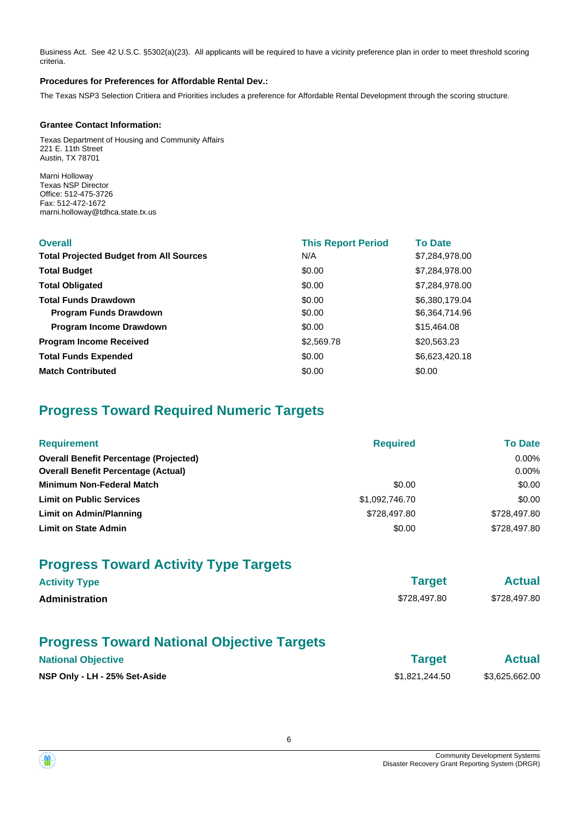Business Act. See 42 U.S.C. §5302(a)(23). All applicants will be required to have a vicinity preference plan in order to meet threshold scoring criteria.

#### **Procedures for Preferences for Affordable Rental Dev.:**

The Texas NSP3 Selection Critiera and Priorities includes a preference for Affordable Rental Development through the scoring structure.

#### **Grantee Contact Information:**

Texas Department of Housing and Community Affairs 221 E. 11th Street Austin, TX 78701

Marni Holloway Texas NSP Director Office: 512-475-3726 Fax: 512-472-1672 marni.holloway@tdhca.state.tx.us

| <b>Overall</b>                                 | <b>This Report Period</b> | <b>To Date</b> |
|------------------------------------------------|---------------------------|----------------|
| <b>Total Projected Budget from All Sources</b> | N/A                       | \$7,284,978.00 |
| <b>Total Budget</b>                            | \$0.00                    | \$7,284,978.00 |
| <b>Total Obligated</b>                         | \$0.00                    | \$7,284,978.00 |
| <b>Total Funds Drawdown</b>                    | \$0.00                    | \$6,380,179.04 |
| <b>Program Funds Drawdown</b>                  | \$0.00                    | \$6,364,714.96 |
| Program Income Drawdown                        | \$0.00                    | \$15,464.08    |
| <b>Program Income Received</b>                 | \$2,569.78                | \$20,563.23    |
| <b>Total Funds Expended</b>                    | \$0.00                    | \$6,623,420.18 |
| <b>Match Contributed</b>                       | \$0.00                    | \$0.00         |

# **Progress Toward Required Numeric Targets**

| <b>Requirement</b>                            | <b>Required</b> | <b>To Date</b> |
|-----------------------------------------------|-----------------|----------------|
| <b>Overall Benefit Percentage (Projected)</b> |                 | $0.00\%$       |
| <b>Overall Benefit Percentage (Actual)</b>    |                 | $0.00\%$       |
| <b>Minimum Non-Federal Match</b>              | \$0.00          | \$0.00         |
| <b>Limit on Public Services</b>               | \$1,092,746.70  | \$0.00         |
| Limit on Admin/Planning                       | \$728,497,80    | \$728,497.80   |
| <b>Limit on State Admin</b>                   | \$0.00          | \$728,497.80   |

# **Progress Toward Activity Type Targets**

| <b>Activity Type</b> | <b>Target</b> | <b>Actual</b> |
|----------------------|---------------|---------------|
| Administration       | \$728,497.80  | \$728,497.80  |
|                      |               |               |

# **Progress Toward National Objective Targets**

| <b>National Objective</b>     | <b>Target</b>  | <b>Actual</b>  |
|-------------------------------|----------------|----------------|
| NSP Only - LH - 25% Set-Aside | \$1.821.244.50 | \$3,625,662.00 |

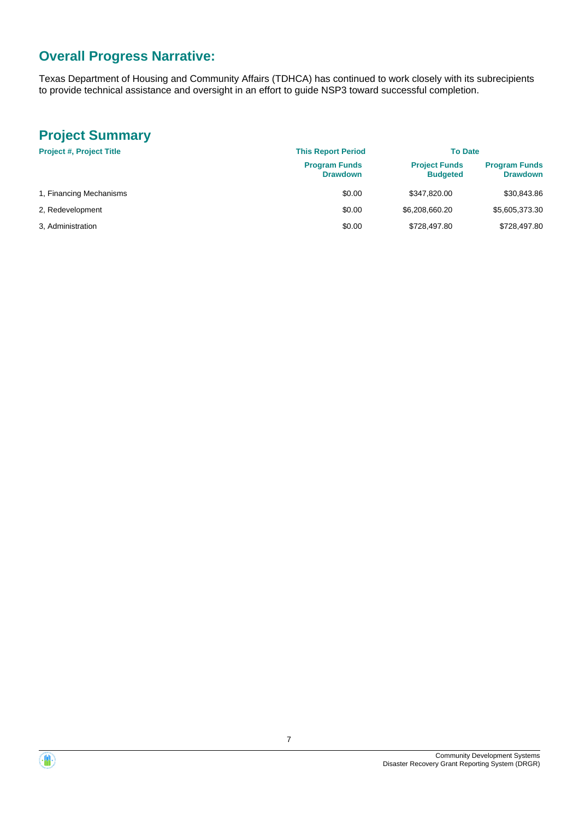# **Overall Progress Narrative:**

Texas Department of Housing and Community Affairs (TDHCA) has continued to work closely with its subrecipients to provide technical assistance and oversight in an effort to guide NSP3 toward successful completion.

# **Project Summary**

| <b>Project #, Project Title</b> | <b>This Report Period</b>               | <b>To Date</b>                          |                                         |
|---------------------------------|-----------------------------------------|-----------------------------------------|-----------------------------------------|
|                                 | <b>Program Funds</b><br><b>Drawdown</b> | <b>Project Funds</b><br><b>Budgeted</b> | <b>Program Funds</b><br><b>Drawdown</b> |
| 1, Financing Mechanisms         | \$0.00                                  | \$347,820.00                            | \$30,843.86                             |
| 2, Redevelopment                | \$0.00                                  | \$6,208,660.20                          | \$5,605,373.30                          |
| 3. Administration               | \$0.00                                  | \$728,497.80                            | \$728.497.80                            |

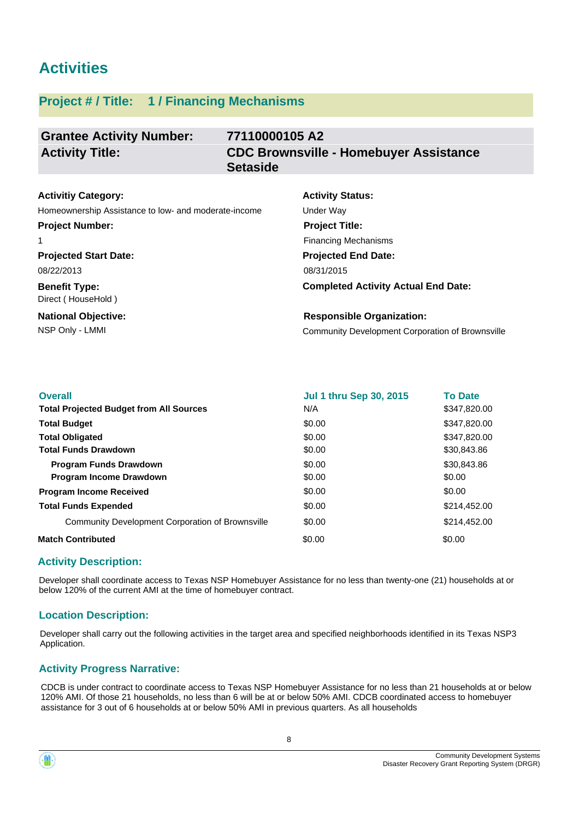# **Activities**

# **Project # / Title: 1 / Financing Mechanisms**

| <b>Grantee Activity Number:</b> | 77110000105 A2                                                   |
|---------------------------------|------------------------------------------------------------------|
| <b>Activity Title:</b>          | <b>CDC Brownsville - Homebuyer Assistance</b><br><b>Setaside</b> |

#### **Activitiy Category:**

Homeownership Assistance to low- and moderate-income Under Way

# **Project Number:**

1

**Projected Start Date:** 08/22/2013

**Benefit Type:** Direct ( HouseHold )

**National Objective:**

# **Activity Status: Projected End Date: Project Title:** Financing Mechanisms

**Completed Activity Actual End Date:** 08/31/2015

#### **Responsible Organization:**

NSP Only - LMMI Community Development Corporation of Brownsville

| <b>Overall</b>                                   | <b>Jul 1 thru Sep 30, 2015</b> | <b>To Date</b> |
|--------------------------------------------------|--------------------------------|----------------|
| <b>Total Projected Budget from All Sources</b>   | N/A                            | \$347,820.00   |
| <b>Total Budget</b>                              | \$0.00                         | \$347,820.00   |
| <b>Total Obligated</b>                           | \$0.00                         | \$347,820,00   |
| <b>Total Funds Drawdown</b>                      | \$0.00                         | \$30,843.86    |
| <b>Program Funds Drawdown</b>                    | \$0.00                         | \$30,843.86    |
| <b>Program Income Drawdown</b>                   | \$0.00                         | \$0.00         |
| <b>Program Income Received</b>                   | \$0.00                         | \$0.00         |
| <b>Total Funds Expended</b>                      | \$0.00                         | \$214,452.00   |
| Community Development Corporation of Brownsville | \$0.00                         | \$214,452.00   |
| <b>Match Contributed</b>                         | \$0.00                         | \$0.00         |

# **Activity Description:**

Developer shall coordinate access to Texas NSP Homebuyer Assistance for no less than twenty-one (21) households at or below 120% of the current AMI at the time of homebuyer contract.

### **Location Description:**

Developer shall carry out the following activities in the target area and specified neighborhoods identified in its Texas NSP3 Application.

# **Activity Progress Narrative:**

CDCB is under contract to coordinate access to Texas NSP Homebuyer Assistance for no less than 21 households at or below 120% AMI. Of those 21 households, no less than 6 will be at or below 50% AMI. CDCB coordinated access to homebuyer assistance for 3 out of 6 households at or below 50% AMI in previous quarters. As all households

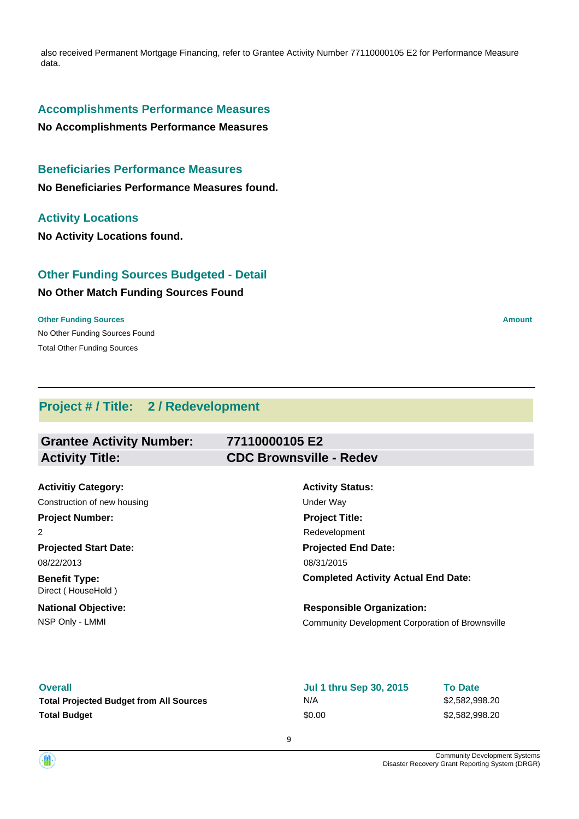also received Permanent Mortgage Financing, refer to Grantee Activity Number 77110000105 E2 for Performance Measure data.

## **Accomplishments Performance Measures**

**No Accomplishments Performance Measures**

# **Beneficiaries Performance Measures**

**No Beneficiaries Performance Measures found.**

#### **Activity Locations**

**No Activity Locations found.**

# **Other Funding Sources Budgeted - Detail**

### **No Other Match Funding Sources Found**

No Other Funding Sources Found **Other Funding Sources Amount Amount Amount Amount Amount Amount Amount** Total Other Funding Sources

# **Project # / Title: 2 / Redevelopment**

| <b>Grantee Activity Number:</b>            | 77110000105 E2                                   |  |
|--------------------------------------------|--------------------------------------------------|--|
| <b>Activity Title:</b>                     | <b>CDC Brownsville - Redev</b>                   |  |
|                                            |                                                  |  |
| <b>Activitiy Category:</b>                 | <b>Activity Status:</b>                          |  |
| Construction of new housing                | Under Way                                        |  |
| <b>Project Number:</b>                     | <b>Project Title:</b>                            |  |
| 2                                          | Redevelopment                                    |  |
| <b>Projected Start Date:</b>               | <b>Projected End Date:</b>                       |  |
| 08/22/2013                                 | 08/31/2015                                       |  |
| <b>Benefit Type:</b><br>Direct (HouseHold) | <b>Completed Activity Actual End Date:</b>       |  |
| <b>National Objective:</b>                 | <b>Responsible Organization:</b>                 |  |
| NSP Only - LMMI                            | Community Development Corporation of Brownsville |  |

| <b>Overall</b>                                 | <b>Jul 1 thru Sep 30, 2015</b> | <b>To Date</b> |
|------------------------------------------------|--------------------------------|----------------|
| <b>Total Projected Budget from All Sources</b> | N/A                            | \$2,582,998,20 |
| Total Budget                                   | \$0.00                         | \$2,582,998,20 |

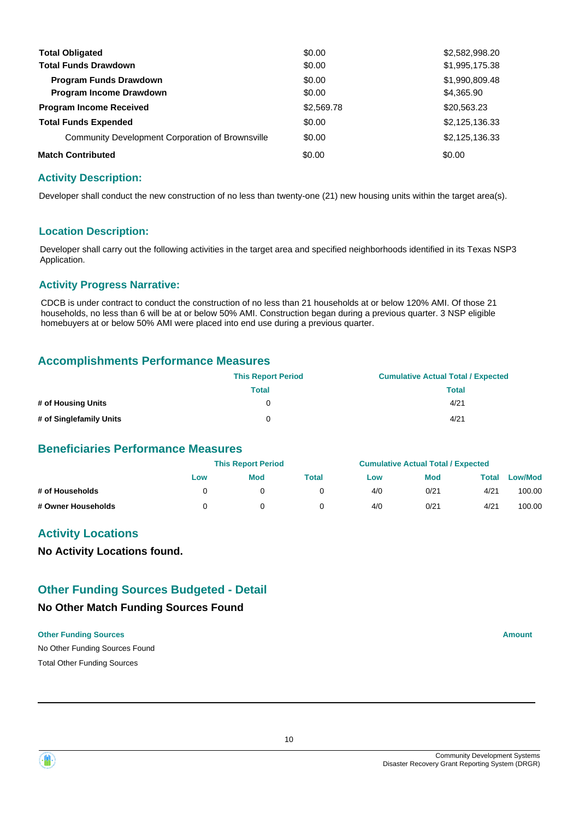| <b>Total Obligated</b>                           | \$0.00     | \$2,582,998.20 |
|--------------------------------------------------|------------|----------------|
| <b>Total Funds Drawdown</b>                      | \$0.00     | \$1,995,175.38 |
| <b>Program Funds Drawdown</b>                    | \$0.00     | \$1,990,809.48 |
| <b>Program Income Drawdown</b>                   | \$0.00     | \$4,365.90     |
| <b>Program Income Received</b>                   | \$2,569.78 | \$20,563.23    |
| <b>Total Funds Expended</b>                      | \$0.00     | \$2,125,136.33 |
| Community Development Corporation of Brownsville | \$0.00     | \$2,125,136.33 |
| <b>Match Contributed</b>                         | \$0.00     | \$0.00         |

## **Activity Description:**

Developer shall conduct the new construction of no less than twenty-one (21) new housing units within the target area(s).

#### **Location Description:**

Developer shall carry out the following activities in the target area and specified neighborhoods identified in its Texas NSP3 Application.

#### **Activity Progress Narrative:**

CDCB is under contract to conduct the construction of no less than 21 households at or below 120% AMI. Of those 21 households, no less than 6 will be at or below 50% AMI. Construction began during a previous quarter. 3 NSP eligible homebuyers at or below 50% AMI were placed into end use during a previous quarter.

## **Accomplishments Performance Measures**

|                         | <b>This Report Period</b> | <b>Cumulative Actual Total / Expected</b> |
|-------------------------|---------------------------|-------------------------------------------|
|                         | Total                     | Total                                     |
| # of Housing Units      | 0                         | 4/21                                      |
| # of Singlefamily Units | 0                         | 4/21                                      |

## **Beneficiaries Performance Measures**

|                    |     | <b>This Report Period</b> |       |     | <b>Cumulative Actual Total / Expected</b> |       |                |
|--------------------|-----|---------------------------|-------|-----|-------------------------------------------|-------|----------------|
|                    | Low | <b>Mod</b>                | Total | Low | <b>Mod</b>                                | Total | <b>Low/Mod</b> |
| # of Households    |     |                           |       | 4/0 | 0/21                                      | 4/21  | 100.00         |
| # Owner Households |     |                           |       | 4/0 | 0/21                                      | 4/21  | 100.00         |

# **Activity Locations**

**No Activity Locations found.**

# **Other Funding Sources Budgeted - Detail**

#### **No Other Match Funding Sources Found**

#### **Other Funding Sources Amount**

No Other Funding Sources Found Total Other Funding Sources



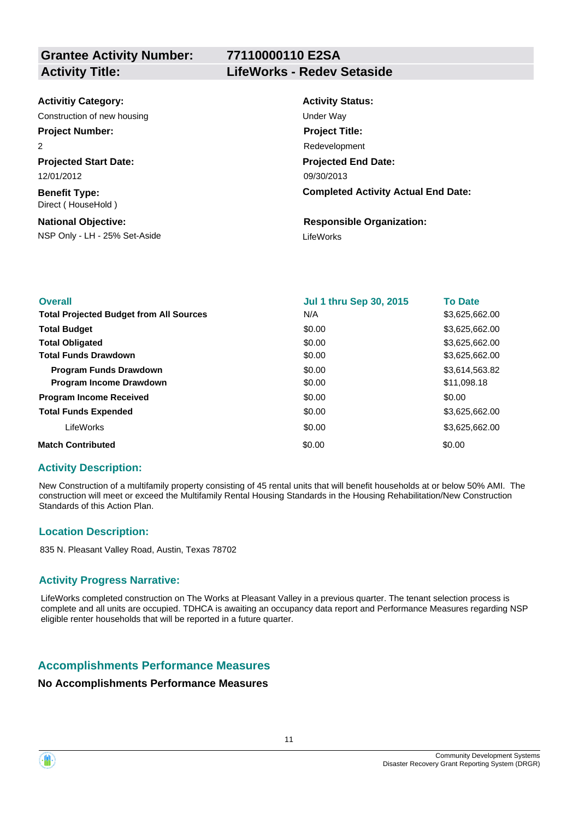# **77110000110 E2SA Activity Title: LifeWorks - Redev Setaside**

| <b>Activitiy Category:</b>                 | <b>Activity Status:</b>                    |
|--------------------------------------------|--------------------------------------------|
| Construction of new housing                | Under Way                                  |
| <b>Project Number:</b>                     | <b>Project Title:</b>                      |
| 2                                          | Redevelopment                              |
| <b>Projected Start Date:</b>               | <b>Projected End Date:</b>                 |
| 12/01/2012                                 | 09/30/2013                                 |
| <b>Benefit Type:</b><br>Direct (HouseHold) | <b>Completed Activity Actual End Date:</b> |
| <b>National Objective:</b>                 | <b>Responsible Organization:</b>           |
| NSP Only - LH - 25% Set-Aside              | LifeWorks                                  |

| <b>Overall</b>                                 | <b>Jul 1 thru Sep 30, 2015</b> | <b>To Date</b> |
|------------------------------------------------|--------------------------------|----------------|
| <b>Total Projected Budget from All Sources</b> | N/A                            | \$3,625,662.00 |
| <b>Total Budget</b>                            | \$0.00                         | \$3,625,662.00 |
| <b>Total Obligated</b>                         | \$0.00                         | \$3,625,662.00 |
| <b>Total Funds Drawdown</b>                    | \$0.00                         | \$3,625,662.00 |
| <b>Program Funds Drawdown</b>                  | \$0.00                         | \$3,614,563.82 |
| Program Income Drawdown                        | \$0.00                         | \$11,098.18    |
| <b>Program Income Received</b>                 | \$0.00                         | \$0.00         |
| <b>Total Funds Expended</b>                    | \$0.00                         | \$3,625,662.00 |
| LifeWorks                                      | \$0.00                         | \$3,625,662.00 |
| <b>Match Contributed</b>                       | \$0.00                         | \$0.00         |

### **Activity Description:**

New Construction of a multifamily property consisting of 45 rental units that will benefit households at or below 50% AMI. The construction will meet or exceed the Multifamily Rental Housing Standards in the Housing Rehabilitation/New Construction Standards of this Action Plan.

### **Location Description:**

835 N. Pleasant Valley Road, Austin, Texas 78702

### **Activity Progress Narrative:**

LifeWorks completed construction on The Works at Pleasant Valley in a previous quarter. The tenant selection process is complete and all units are occupied. TDHCA is awaiting an occupancy data report and Performance Measures regarding NSP eligible renter households that will be reported in a future quarter.

# **Accomplishments Performance Measures**

#### **No Accomplishments Performance Measures**

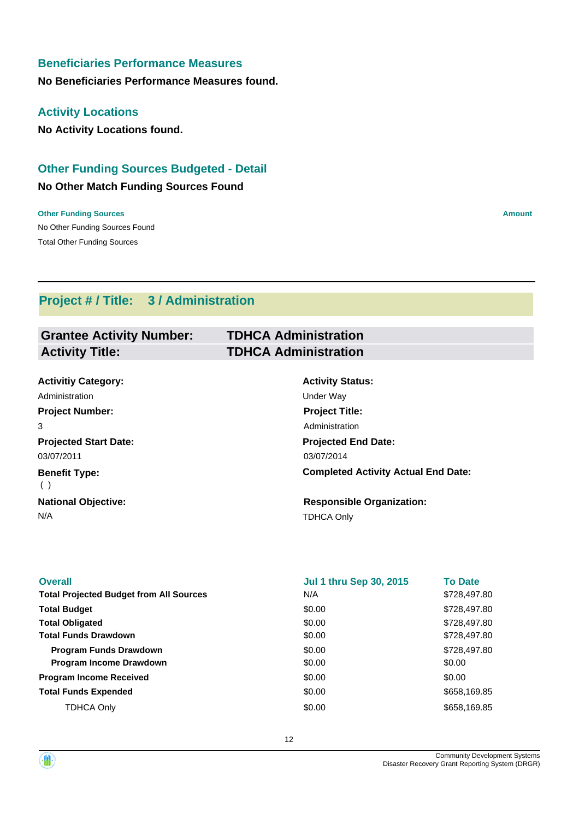# **Beneficiaries Performance Measures**

**No Beneficiaries Performance Measures found.**

## **Activity Locations**

**No Activity Locations found.**

# **Other Funding Sources Budgeted - Detail**

### **No Other Match Funding Sources Found**

No Other Funding Sources Found **Other Funding Sources Amount** Total Other Funding Sources

# **Project # / Title: 3 / Administration**

| <b>Grantee Activity Number:</b> | <b>TDHCA Administration</b> |
|---------------------------------|-----------------------------|
| <b>Activity Title:</b>          | <b>TDHCA Administration</b> |

| <b>Activitiy Category:</b>   | <b>Activity Status:</b>                    |
|------------------------------|--------------------------------------------|
| Administration               | Under Way                                  |
| <b>Project Number:</b>       | <b>Project Title:</b>                      |
| 3                            | Administration                             |
| <b>Projected Start Date:</b> | <b>Projected End Date:</b>                 |
| 03/07/2011                   | 03/07/2014                                 |
| <b>Benefit Type:</b><br>( )  | <b>Completed Activity Actual End Date:</b> |
| <b>National Objective:</b>   | <b>Responsible Organization:</b>           |
| N/A                          | <b>TDHCA Only</b>                          |

| <b>Overall</b>                                 | <b>Jul 1 thru Sep 30, 2015</b> | <b>To Date</b> |
|------------------------------------------------|--------------------------------|----------------|
| <b>Total Projected Budget from All Sources</b> | N/A                            | \$728,497.80   |
| <b>Total Budget</b>                            | \$0.00                         | \$728,497.80   |
| <b>Total Obligated</b>                         | \$0.00                         | \$728,497.80   |
| <b>Total Funds Drawdown</b>                    | \$0.00                         | \$728,497.80   |
| <b>Program Funds Drawdown</b>                  | \$0.00                         | \$728,497.80   |
| <b>Program Income Drawdown</b>                 | \$0.00                         | \$0.00         |
| <b>Program Income Received</b>                 | \$0.00                         | \$0.00         |
| <b>Total Funds Expended</b>                    | \$0.00                         | \$658,169.85   |
| <b>TDHCA Only</b>                              | \$0.00                         | \$658,169.85   |
|                                                |                                |                |